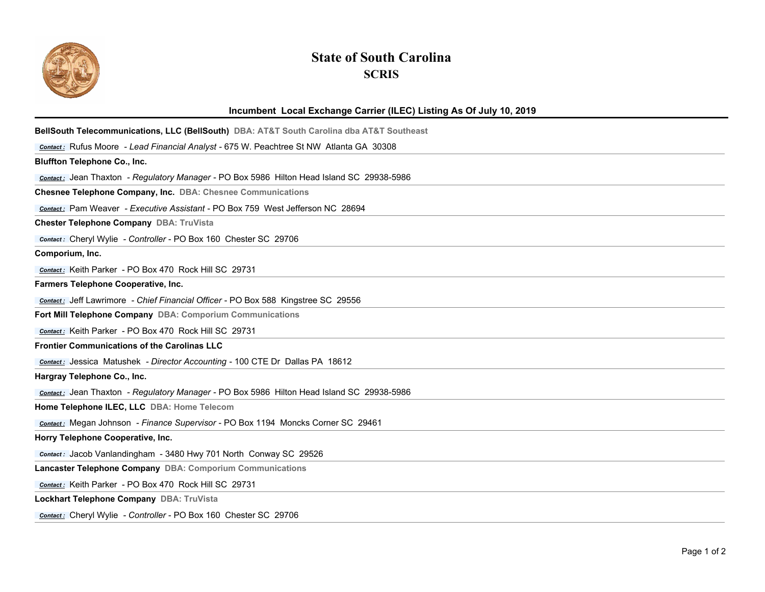

## **State of South Carolina SCRIS**

## **Incumbent Local Exchange Carrier (ILEC) Listing As Of July 10, 2019**

| BellSouth Telecommunications, LLC (BellSouth) DBA: AT&T South Carolina dba AT&T Southeast        |
|--------------------------------------------------------------------------------------------------|
| Contact: Rufus Moore - Lead Financial Analyst - 675 W. Peachtree St NW Atlanta GA 30308          |
| <b>Bluffton Telephone Co., Inc.</b>                                                              |
| Contact: Jean Thaxton - Regulatory Manager - PO Box 5986 Hilton Head Island SC 29938-5986        |
| Chesnee Telephone Company, Inc. DBA: Chesnee Communications                                      |
| contact: Pam Weaver - Executive Assistant - PO Box 759 West Jefferson NC 28694                   |
| Chester Telephone Company DBA: TruVista                                                          |
| Contact: Cheryl Wylie - Controller - PO Box 160 Chester SC 29706                                 |
| Comporium, Inc.                                                                                  |
| Contact: Keith Parker - PO Box 470 Rock Hill SC 29731                                            |
| Farmers Telephone Cooperative, Inc.                                                              |
| Contact: Jeff Lawrimore - Chief Financial Officer - PO Box 588 Kingstree SC 29556                |
| Fort Mill Telephone Company DBA: Comporium Communications                                        |
| Contact: Keith Parker - PO Box 470 Rock Hill SC 29731                                            |
| <b>Frontier Communications of the Carolinas LLC</b>                                              |
| <b>Contact:</b> Jessica Matushek - Director Accounting - 100 CTE Dr Dallas PA 18612              |
| Hargray Telephone Co., Inc.                                                                      |
| <b>Contact:</b> Jean Thaxton - Regulatory Manager - PO Box 5986 Hilton Head Island SC 29938-5986 |
| Home Telephone ILEC, LLC DBA: Home Telecom                                                       |
| <b>Contact:</b> Megan Johnson - Finance Supervisor - PO Box 1194 Moncks Corner SC 29461          |
| Horry Telephone Cooperative, Inc.                                                                |
| Contact: Jacob Vanlandingham - 3480 Hwy 701 North Conway SC 29526                                |
| Lancaster Telephone Company DBA: Comporium Communications                                        |
| Contact: Keith Parker - PO Box 470 Rock Hill SC 29731                                            |
| Lockhart Telephone Company DBA: TruVista                                                         |
| Contact: Cheryl Wylie - Controller - PO Box 160 Chester SC 29706                                 |